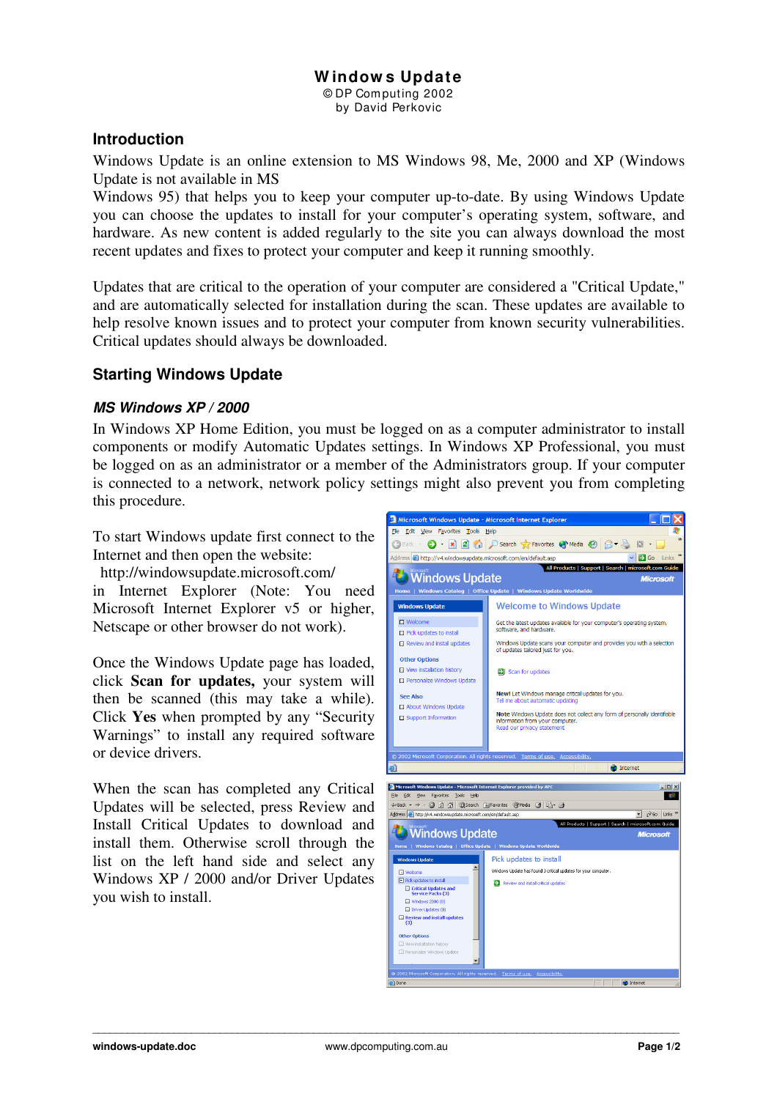# **W indow s Update**

© DP Com puting 2002 by David Perkovic

#### **Introduction**

Windows Update is an online extension to MS Windows 98, Me, 2000 and XP (Windows Update is not available in MS

Windows 95) that helps you to keep your computer up-to-date. By using Windows Update you can choose the updates to install for your computer's operating system, software, and hardware. As new content is added regularly to the site you can always download the most recent updates and fixes to protect your computer and keep it running smoothly.

Updates that are critical to the operation of your computer are considered a "Critical Update," and are automatically selected for installation during the scan. These updates are available to help resolve known issues and to protect your computer from known security vulnerabilities. Critical updates should always be downloaded.

# **Starting Windows Update**

### *MS Windows XP / 2000*

In Windows XP Home Edition, you must be logged on as a computer administrator to install components or modify Automatic Updates settings. In Windows XP Professional, you must be logged on as an administrator or a member of the Administrators group. If your computer is connected to a network, network policy settings might also prevent you from completing this procedure.

To start Windows update first connect to the Internet and then open the website:

http://windowsupdate.microsoft.com/ in Internet Explorer (Note: You need Microsoft Internet Explorer v5 or higher, Netscape or other browser do not work).

Once the Windows Update page has loaded, click **Scan for updates,** your system will then be scanned (this may take a while). Click **Yes** when prompted by any "Security Warnings" to install any required software or device drivers.

When the scan has completed any Critical Updates will be selected, press Review and Install Critical Updates to download and install them. Otherwise scroll through the list on the left hand side and select any Windows XP / 2000 and/or Driver Updates you wish to install.